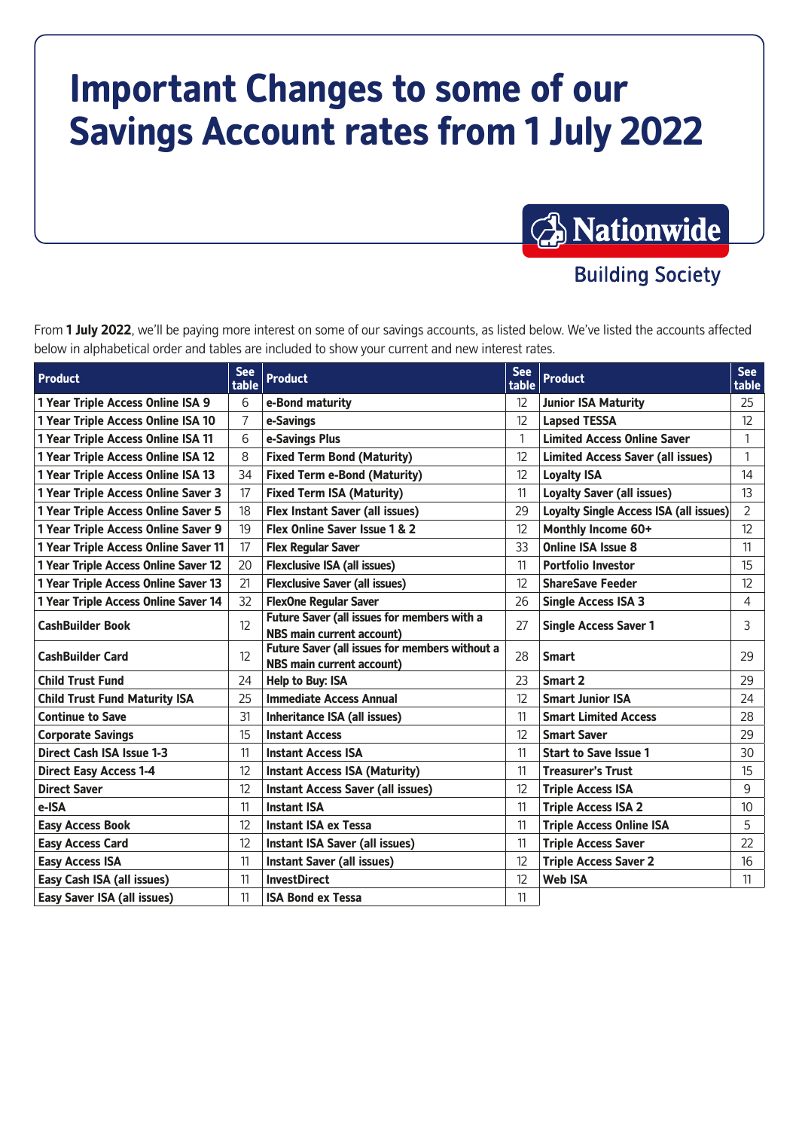# **Important Changes to some of our Savings Account rates from 1 July 2022**



**Building Society** 

From **1 July 2022**, we'll be paying more interest on some of our savings accounts, as listed below. We've listed the accounts affected below in alphabetical order and tables are included to show your current and new interest rates.

| <b>Product</b>                       | <b>See</b><br>table | <b>Product</b>                                                                     | <b>See</b><br>table | <b>Product</b>                                | <b>See</b><br>table |
|--------------------------------------|---------------------|------------------------------------------------------------------------------------|---------------------|-----------------------------------------------|---------------------|
| 1 Year Triple Access Online ISA 9    | 6                   | e-Bond maturity                                                                    | 12                  | <b>Junior ISA Maturity</b>                    | 25                  |
| 1 Year Triple Access Online ISA 10   | 7                   | e-Savings                                                                          | 12                  | <b>Lapsed TESSA</b>                           | 12                  |
| 1 Year Triple Access Online ISA 11   | 6                   | e-Savings Plus                                                                     | 1                   | <b>Limited Access Online Saver</b>            | 1                   |
| 1 Year Triple Access Online ISA 12   | 8                   | <b>Fixed Term Bond (Maturity)</b>                                                  | 12                  | <b>Limited Access Saver (all issues)</b>      | 1                   |
| 1 Year Triple Access Online ISA 13   | 34                  | <b>Fixed Term e-Bond (Maturity)</b>                                                | 12                  | <b>Loyalty ISA</b>                            | 14                  |
| 1 Year Triple Access Online Saver 3  | 17                  | <b>Fixed Term ISA (Maturity)</b>                                                   | 11                  | <b>Loyalty Saver (all issues)</b>             | 13                  |
| 1 Year Triple Access Online Saver 5  | 18                  | <b>Flex Instant Saver (all issues)</b>                                             | 29                  | <b>Loyalty Single Access ISA (all issues)</b> | $\overline{2}$      |
| 1 Year Triple Access Online Saver 9  | 19                  | Flex Online Saver Issue 1 & 2                                                      | 12                  | Monthly Income 60+                            | 12                  |
| 1 Year Triple Access Online Saver 11 | 17                  | <b>Flex Regular Saver</b>                                                          | 33                  | <b>Online ISA Issue 8</b>                     | 11                  |
| 1 Year Triple Access Online Saver 12 | 20                  | <b>Flexclusive ISA (all issues)</b>                                                | 11                  | <b>Portfolio Investor</b>                     | 15                  |
| 1 Year Triple Access Online Saver 13 | 21                  | <b>Flexclusive Saver (all issues)</b>                                              | 12                  | <b>ShareSave Feeder</b>                       | 12                  |
| 1 Year Triple Access Online Saver 14 | 32                  | <b>FlexOne Regular Saver</b>                                                       | 26                  | <b>Single Access ISA 3</b>                    | 4                   |
| <b>CashBuilder Book</b>              | $12 \overline{ }$   | Future Saver (all issues for members with a<br><b>NBS main current account)</b>    | 27                  | <b>Single Access Saver 1</b>                  | 3                   |
| <b>CashBuilder Card</b>              | $12 \overline{ }$   | Future Saver (all issues for members without a<br><b>NBS main current account)</b> | 28                  | <b>Smart</b>                                  | 29                  |
| <b>Child Trust Fund</b>              | 24                  | Help to Buy: ISA                                                                   | 23                  | Smart 2                                       | 29                  |
| <b>Child Trust Fund Maturity ISA</b> | 25                  | <b>Immediate Access Annual</b>                                                     | 12                  | <b>Smart Junior ISA</b>                       | 24                  |
| <b>Continue to Save</b>              | 31                  | Inheritance ISA (all issues)                                                       | 11                  | <b>Smart Limited Access</b>                   | 28                  |
| <b>Corporate Savings</b>             | 15                  | <b>Instant Access</b>                                                              | 12                  | <b>Smart Saver</b>                            | 29                  |
| <b>Direct Cash ISA Issue 1-3</b>     | 11                  | <b>Instant Access ISA</b>                                                          | 11                  | <b>Start to Save Issue 1</b>                  | 30                  |
| <b>Direct Easy Access 1-4</b>        | 12                  | <b>Instant Access ISA (Maturity)</b>                                               | 11                  | <b>Treasurer's Trust</b>                      | 15                  |
| <b>Direct Saver</b>                  | 12                  | <b>Instant Access Saver (all issues)</b>                                           | 12                  | <b>Triple Access ISA</b>                      | 9                   |
| e-ISA                                | 11                  | <b>Instant ISA</b>                                                                 | 11                  | <b>Triple Access ISA 2</b>                    | 10                  |
| <b>Easy Access Book</b>              | 12                  | <b>Instant ISA ex Tessa</b>                                                        | 11                  | <b>Triple Access Online ISA</b>               | 5                   |
| <b>Easy Access Card</b>              | 12                  | Instant ISA Saver (all issues)                                                     | 11                  | <b>Triple Access Saver</b>                    | 22                  |
| <b>Easy Access ISA</b>               | 11                  | <b>Instant Saver (all issues)</b>                                                  | 12                  | <b>Triple Access Saver 2</b>                  | 16                  |
| Easy Cash ISA (all issues)           | 11                  | <b>InvestDirect</b>                                                                | 12                  | <b>Web ISA</b>                                | 11                  |
| <b>Easy Saver ISA (all issues)</b>   | 11                  | <b>ISA Bond ex Tessa</b>                                                           | 11                  |                                               |                     |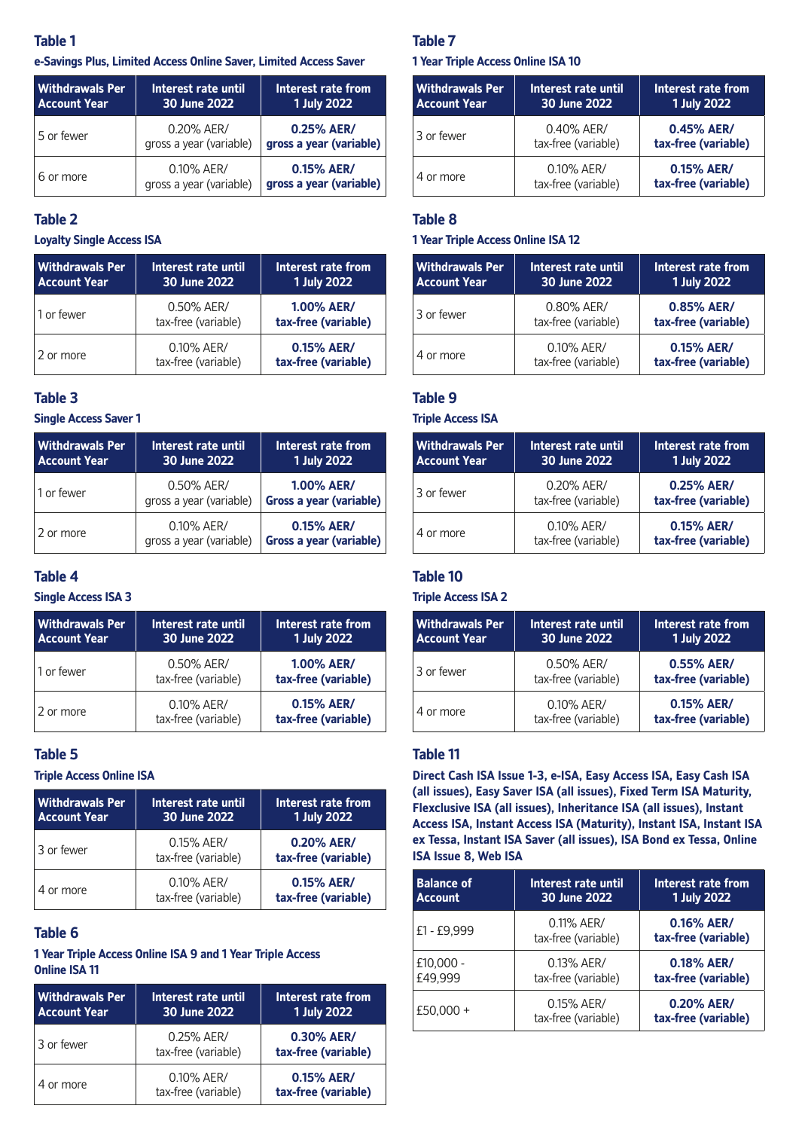## **Table 1**

#### **e-Savings Plus, Limited Access Online Saver, Limited Access Saver**

| <b>Withdrawals Per</b><br><b>Account Year</b> | Interest rate until<br>30 June 2022   | Interest rate from<br><b>1 July 2022</b> |
|-----------------------------------------------|---------------------------------------|------------------------------------------|
| 5 or fewer                                    | 0.20% AER/<br>gross a year (variable) | 0.25% AER/<br>gross a year (variable)    |
| 6 or more                                     | 0.10% AER/<br>gross a year (variable) | 0.15% AER/<br>gross a year (variable)    |

## **Table 2**

#### **Loyalty Single Access ISA**

| <b>Withdrawals Per</b><br><b>Account Year</b> | Interest rate until<br>30 June 2022 | Interest rate from<br><b>1 July 2022</b> |
|-----------------------------------------------|-------------------------------------|------------------------------------------|
| 1 or fewer                                    | 0.50% AER/<br>tax-free (variable)   | <b>1.00% AER/</b><br>tax-free (variable) |
| 2 or more                                     | 0.10% AER/<br>tax-free (variable)   | 0.15% AER/<br>tax-free (variable)        |

## **Table 3**

#### **Single Access Saver 1**

| <b>Withdrawals Per</b><br><b>Account Year</b> | Interest rate until<br>30 June 2022   | Interest rate from<br><b>1 July 2022</b>     |
|-----------------------------------------------|---------------------------------------|----------------------------------------------|
| 1 or fewer                                    | 0.50% AER/<br>gross a year (variable) | <b>1.00% AER/</b><br>Gross a year (variable) |
| 2 or more                                     | 0.10% AER/<br>gross a year (variable) | 0.15% AER/<br>Gross a year (variable)        |

### **Table 4**

## **Single Access ISA 3**

| <b>Withdrawals Per</b><br><b>Account Year</b> | Interest rate until<br>30 June 2022 | Interest rate from<br><b>1 July 2022</b> |
|-----------------------------------------------|-------------------------------------|------------------------------------------|
| 1 or fewer                                    | 0.50% AER/<br>tax-free (variable)   | <b>1.00% AER/</b><br>tax-free (variable) |
| 2 or more                                     | 0.10% AER/<br>tax-free (variable)   | 0.15% AER/<br>tax-free (variable)        |

### **Table 5**

#### **Triple Access Online ISA**

| <b>Withdrawals Per</b><br><b>Account Year</b> | Interest rate until<br>30 June 2022 | Interest rate from<br><b>1 July 2022</b> |
|-----------------------------------------------|-------------------------------------|------------------------------------------|
| 3 or fewer                                    | 0.15% AER/<br>tax-free (variable)   | 0.20% AER/<br>tax-free (variable)        |
| 4 or more                                     | 0.10% AER/<br>tax-free (variable)   | 0.15% AER/<br>tax-free (variable)        |

# **Table 6**

#### **1 Year Triple Access Online ISA 9 and 1 Year Triple Access Online ISA 11**

| <b>Withdrawals Per</b><br><b>Account Year</b> | Interest rate until<br>30 June 2022 | Interest rate from<br><b>1 July 2022</b> |
|-----------------------------------------------|-------------------------------------|------------------------------------------|
| 3 or fewer                                    | 0.25% AER/<br>tax-free (variable)   | 0.30% AER/<br>tax-free (variable)        |
| 4 or more                                     | 0.10% AER/<br>tax-free (variable)   | 0.15% AER/<br>tax-free (variable)        |

#### **Table 7**

#### **1 Year Triple Access Online ISA 10**

| Withdrawals Per<br><b>Account Year</b> | Interest rate until<br>30 June 2022 | Interest rate from<br>1 July 2022 |
|----------------------------------------|-------------------------------------|-----------------------------------|
| 3 or fewer                             | 0.40% AER/<br>tax-free (variable)   | 0.45% AER/<br>tax-free (variable) |
| 4 or more                              | 0.10% AER/<br>tax-free (variable)   | 0.15% AER/<br>tax-free (variable) |

## **Table 8**

#### **1 Year Triple Access Online ISA 12**

| <b>Withdrawals Per</b><br><b>Account Year</b> | Interest rate until<br>30 June 2022 | Interest rate from<br><b>1 July 2022</b> |
|-----------------------------------------------|-------------------------------------|------------------------------------------|
| 3 or fewer                                    | 0.80% AER/<br>tax-free (variable)   | 0.85% AER/<br>tax-free (variable)        |
| 4 or more                                     | 0.10% AER/<br>tax-free (variable)   | 0.15% AER/<br>tax-free (variable)        |

## **Table 9**

#### **Triple Access ISA**

| <b>Withdrawals Per</b><br><b>Account Year</b> | Interest rate until<br>30 June 2022 | Interest rate from<br><b>1 July 2022</b> |
|-----------------------------------------------|-------------------------------------|------------------------------------------|
| 3 or fewer                                    | 0.20% AER/<br>tax-free (variable)   | 0.25% AER/<br>tax-free (variable)        |
| 4 or more                                     | 0.10% AER/<br>tax-free (variable)   | 0.15% AER/<br>tax-free (variable)        |

## **Table 10**

## **Triple Access ISA 2**

| Withdrawals Per<br><b>Account Year</b> | Interest rate until<br>30 June 2022 | Interest rate from<br>1 July 2022 |
|----------------------------------------|-------------------------------------|-----------------------------------|
| 3 or fewer                             | 0.50% AER/<br>tax-free (variable)   | 0.55% AER/<br>tax-free (variable) |
| 4 or more                              | 0.10% AER/<br>tax-free (variable)   | 0.15% AER/<br>tax-free (variable) |

#### **Table 11**

**Direct Cash ISA Issue 1-3, e-ISA, Easy Access ISA, Easy Cash ISA (all issues), Easy Saver ISA (all issues), Fixed Term ISA Maturity, Flexclusive ISA (all issues), Inheritance ISA (all issues), Instant Access ISA, Instant Access ISA (Maturity), Instant ISA, Instant ISA ex Tessa, Instant ISA Saver (all issues), ISA Bond ex Tessa, Online ISA Issue 8, Web ISA**

| <b>Balance of</b> | Interest rate until               | Interest rate from                |
|-------------------|-----------------------------------|-----------------------------------|
| <b>Account</b>    | 30 June 2022                      | <b>1 July 2022</b>                |
| £1 - £9,999       | 0.11% AER/<br>tax-free (variable) | 0.16% AER/<br>tax-free (variable) |
| $£10.000 -$       | 0.13% AER/                        | 0.18% AER/                        |
| £49,999           | tax-free (variable)               | tax-free (variable)               |
| £50,000 +         | 0.15% AER/<br>tax-free (variable) | 0.20% AER/<br>tax-free (variable) |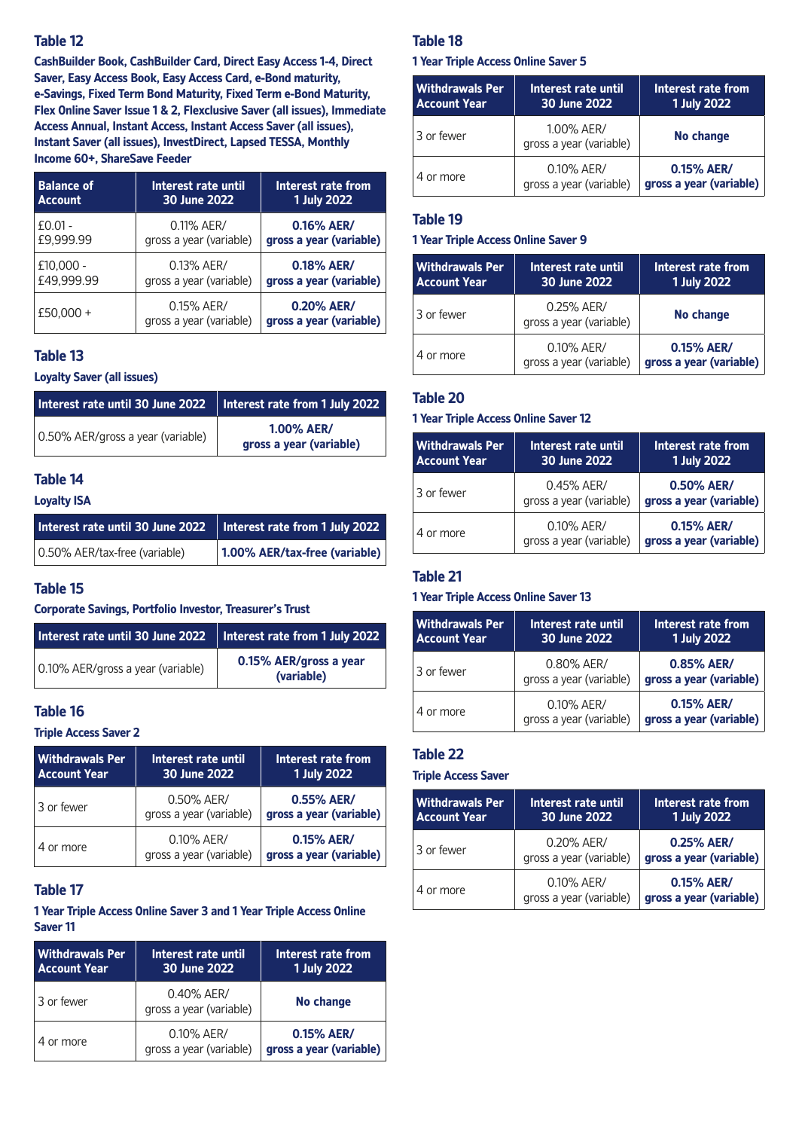## **Table 12**

**CashBuilder Book, CashBuilder Card, Direct Easy Access 1-4, Direct Saver, Easy Access Book, Easy Access Card, e-Bond maturity, e-Savings, Fixed Term Bond Maturity, Fixed Term e-Bond Maturity, Flex Online Saver Issue 1 & 2, Flexclusive Saver (all issues), Immediate Access Annual, Instant Access, Instant Access Saver (all issues), Instant Saver (all issues), InvestDirect, Lapsed TESSA, Monthly Income 60+, ShareSave Feeder**

| <b>Balance of</b> | Interest rate until                   | Interest rate from                    |
|-------------------|---------------------------------------|---------------------------------------|
| <b>Account</b>    | 30 June 2022                          | <b>1 July 2022</b>                    |
| $£0.01 -$         | 0.11% AER/                            | 0.16% AER/                            |
| £9,999.99         | gross a year (variable)               | gross a year (variable)               |
| $£10,000 -$       | 0.13% AER/                            | 0.18% AER/                            |
| £49,999.99        | gross a year (variable)               | gross a year (variable)               |
| £50.000 +         | 0.15% AER/<br>gross a year (variable) | 0.20% AER/<br>gross a year (variable) |

# **Table 13**

**Loyalty Saver (all issues)**

| Interest rate until 30 June 2022  | $\parallel$ Interest rate from 1 July 2022   |
|-----------------------------------|----------------------------------------------|
| 0.50% AER/gross a year (variable) | <b>1.00% AER/</b><br>gross a year (variable) |

# **Table 14**

## **Loyalty ISA**

| Interest rate until 30 June 2022 | Interest rate from 1 July 2022 |
|----------------------------------|--------------------------------|
| 0.50% AER/tax-free (variable)    | 1.00% AER/tax-free (variable)  |

## **Table 15**

**Corporate Savings, Portfolio Investor, Treasurer's Trust**

| Interest rate until 30 June 2022  | Interest rate from 1 July 2022       |
|-----------------------------------|--------------------------------------|
| 0.10% AER/gross a year (variable) | 0.15% AER/gross a year<br>(variable) |

# **Table 16**

# **Triple Access Saver 2**

| <b>Withdrawals Per</b><br><b>Account Year</b> | Interest rate until<br>30 June 2022   | Interest rate from<br><b>1 July 2022</b> |
|-----------------------------------------------|---------------------------------------|------------------------------------------|
| 3 or fewer                                    | 0.50% AER/<br>gross a year (variable) | 0.55% AER/<br>gross a year (variable)    |
| 4 or more                                     | 0.10% AER/<br>gross a year (variable) | 0.15% AER/<br>gross a year (variable)    |

# **Table 17**

**1 Year Triple Access Online Saver 3 and 1 Year Triple Access Online Saver 11**

| <b>Withdrawals Per</b><br>  Account Year | Interest rate until<br>30 June 2022   | Interest rate from<br><b>1 July 2022</b> |
|------------------------------------------|---------------------------------------|------------------------------------------|
| 3 or fewer                               | 0.40% AER/<br>gross a year (variable) | No change                                |
| 4 or more                                | 0.10% AER/<br>gross a year (variable) | 0.15% AER/<br>gross a year (variable)    |

# **Table 18**

#### **1 Year Triple Access Online Saver 5**

| <b>Withdrawals Per</b><br><b>Account Year</b> | Interest rate until<br>30 June 2022   | Interest rate from<br><b>1 July 2022</b> |
|-----------------------------------------------|---------------------------------------|------------------------------------------|
| 3 or fewer                                    | 1.00% AER/<br>gross a year (variable) | No change                                |
| 4 or more                                     | 0.10% AER/<br>gross a year (variable) | 0.15% AER/<br>gross a year (variable)    |

# **Table 19**

#### **1 Year Triple Access Online Saver 9**

| <b>Withdrawals Per</b><br><b>Account Year</b> | Interest rate until<br>30 June 2022   | Interest rate from<br><b>1 July 2022</b> |
|-----------------------------------------------|---------------------------------------|------------------------------------------|
| 3 or fewer                                    | 0.25% AER/<br>gross a year (variable) | No change                                |
| 4 or more                                     | 0.10% AER/<br>gross a year (variable) | 0.15% AER/<br>gross a year (variable)    |

## **Table 20**

#### **1 Year Triple Access Online Saver 12**

| <b>Withdrawals Per</b><br><b>Account Year</b> | Interest rate until<br>30 June 2022   | Interest rate from<br>1 July 2022     |
|-----------------------------------------------|---------------------------------------|---------------------------------------|
| 3 or fewer                                    | 0.45% AER/<br>gross a year (variable) | 0.50% AER/<br>gross a year (variable) |
| 4 or more                                     | 0.10% AER/<br>gross a year (variable) | 0.15% AER/<br>gross a year (variable) |

## **Table 21**

### **1 Year Triple Access Online Saver 13**

| <b>Withdrawals Per</b><br><b>Account Year</b> | Interest rate until<br>30 June 2022   | Interest rate from<br>1 July 2022     |
|-----------------------------------------------|---------------------------------------|---------------------------------------|
| 3 or fewer                                    | 0.80% AER/<br>gross a year (variable) | 0.85% AER/<br>gross a year (variable) |
| 4 or more                                     | 0.10% AER/<br>gross a year (variable) | 0.15% AER/<br>gross a year (variable) |

## **Table 22**

## **Triple Access Saver**

| <b>Withdrawals Per</b><br><b>Account Year</b> | Interest rate until<br>30 June 2022   | Interest rate from<br>1 July 2022     |
|-----------------------------------------------|---------------------------------------|---------------------------------------|
| 3 or fewer                                    | 0.20% AER/<br>gross a year (variable) | 0.25% AER/<br>gross a year (variable) |
| 4 or more                                     | 0.10% AER/<br>gross a year (variable) | 0.15% AER/<br>gross a year (variable) |